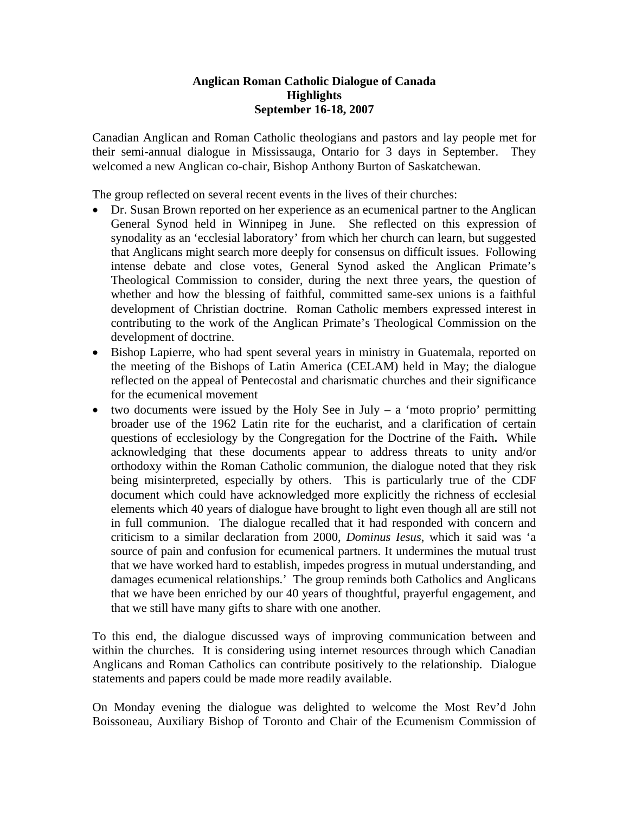## **Anglican Roman Catholic Dialogue of Canada Highlights September 16-18, 2007**

Canadian Anglican and Roman Catholic theologians and pastors and lay people met for their semi-annual dialogue in Mississauga, Ontario for 3 days in September. They welcomed a new Anglican co-chair, Bishop Anthony Burton of Saskatchewan.

The group reflected on several recent events in the lives of their churches:

- Dr. Susan Brown reported on her experience as an ecumenical partner to the Anglican General Synod held in Winnipeg in June. She reflected on this expression of synodality as an 'ecclesial laboratory' from which her church can learn, but suggested that Anglicans might search more deeply for consensus on difficult issues. Following intense debate and close votes, General Synod asked the Anglican Primate's Theological Commission to consider, during the next three years, the question of whether and how the blessing of faithful, committed same-sex unions is a faithful development of Christian doctrine. Roman Catholic members expressed interest in contributing to the work of the Anglican Primate's Theological Commission on the development of doctrine.
- Bishop Lapierre, who had spent several years in ministry in Guatemala, reported on the meeting of the Bishops of Latin America (CELAM) held in May; the dialogue reflected on the appeal of Pentecostal and charismatic churches and their significance for the ecumenical movement
- two documents were issued by the Holy See in July a 'moto proprio' permitting broader use of the 1962 Latin rite for the eucharist, and a clarification of certain questions of ecclesiology by the Congregation for the Doctrine of the Faith**.** While acknowledging that these documents appear to address threats to unity and/or orthodoxy within the Roman Catholic communion, the dialogue noted that they risk being misinterpreted, especially by others. This is particularly true of the CDF document which could have acknowledged more explicitly the richness of ecclesial elements which 40 years of dialogue have brought to light even though all are still not in full communion. The dialogue recalled that it had responded with concern and criticism to a similar declaration from 2000, *Dominus Iesus*, which it said was 'a source of pain and confusion for ecumenical partners. It undermines the mutual trust that we have worked hard to establish, impedes progress in mutual understanding, and damages ecumenical relationships.' The group reminds both Catholics and Anglicans that we have been enriched by our 40 years of thoughtful, prayerful engagement, and that we still have many gifts to share with one another.

To this end, the dialogue discussed ways of improving communication between and within the churches. It is considering using internet resources through which Canadian Anglicans and Roman Catholics can contribute positively to the relationship. Dialogue statements and papers could be made more readily available.

On Monday evening the dialogue was delighted to welcome the Most Rev'd John Boissoneau, Auxiliary Bishop of Toronto and Chair of the Ecumenism Commission of